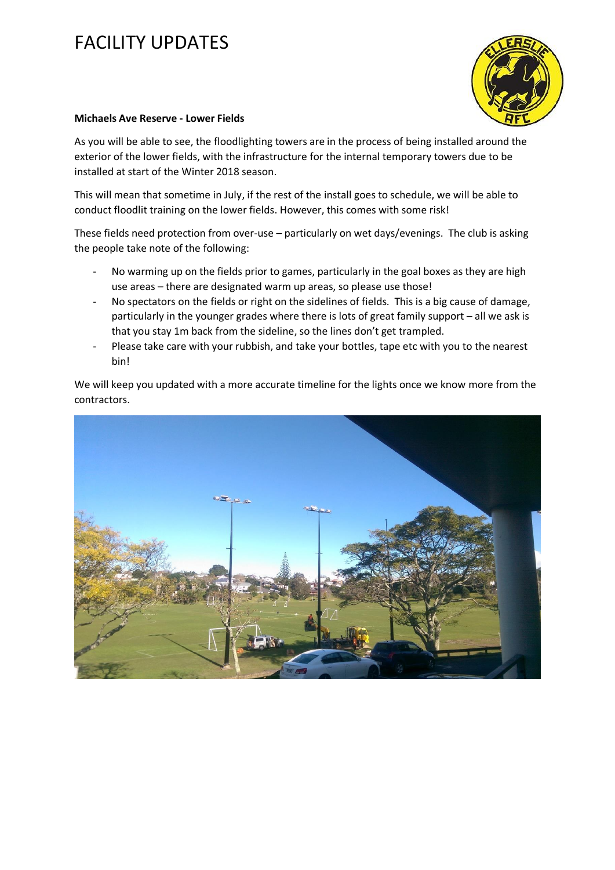## FACILITY UPDATES



## **Michaels Ave Reserve - Lower Fields**

As you will be able to see, the floodlighting towers are in the process of being installed around the exterior of the lower fields, with the infrastructure for the internal temporary towers due to be installed at start of the Winter 2018 season.

This will mean that sometime in July, if the rest of the install goes to schedule, we will be able to conduct floodlit training on the lower fields. However, this comes with some risk!

These fields need protection from over-use – particularly on wet days/evenings. The club is asking the people take note of the following:

- No warming up on the fields prior to games, particularly in the goal boxes as they are high use areas – there are designated warm up areas, so please use those!
- No spectators on the fields or right on the sidelines of fields. This is a big cause of damage, particularly in the younger grades where there is lots of great family support – all we ask is that you stay 1m back from the sideline, so the lines don't get trampled.
- Please take care with your rubbish, and take your bottles, tape etc with you to the nearest bin!

We will keep you updated with a more accurate timeline for the lights once we know more from the contractors.